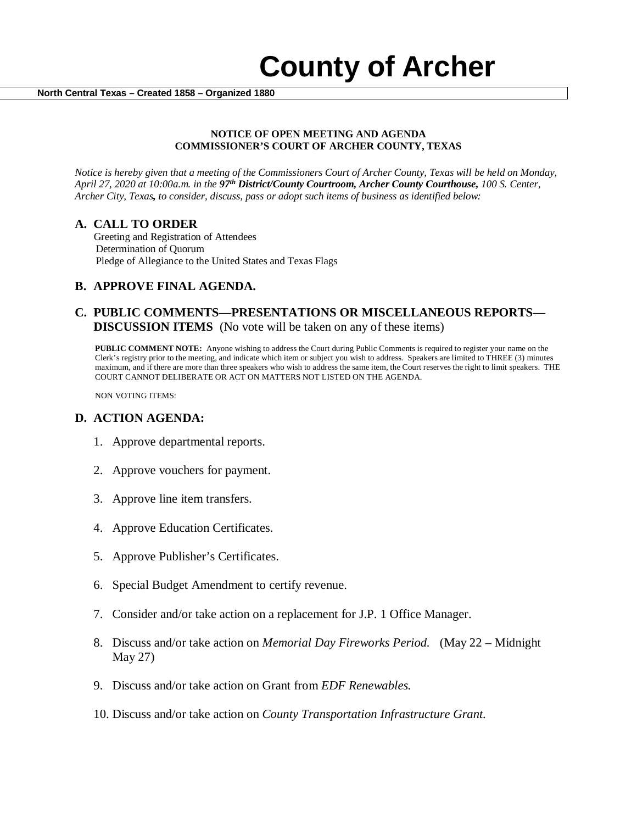#### **NOTICE OF OPEN MEETING AND AGENDA COMMISSIONER'S COURT OF ARCHER COUNTY, TEXAS**

*Notice is hereby given that a meeting of the Commissioners Court of Archer County, Texas will be held on Monday, April 27, 2020 at 10:00a.m. in the 97th District/County Courtroom, Archer County Courthouse, 100 S. Center, Archer City, Texas, to consider, discuss, pass or adopt such items of business as identified below:*

**A. CALL TO ORDER** Greeting and Registration of Attendees Determination of Quorum Pledge of Allegiance to the United States and Texas Flags

## **B. APPROVE FINAL AGENDA.**

## **C. PUBLIC COMMENTS—PRESENTATIONS OR MISCELLANEOUS REPORTS— DISCUSSION ITEMS** (No vote will be taken on any of these items)

**PUBLIC COMMENT NOTE:** Anyone wishing to address the Court during Public Comments is required to register your name on the Clerk's registry prior to the meeting, and indicate which item or subject you wish to address. Speakers are limited to THREE (3) minutes maximum, and if there are more than three speakers who wish to address the same item, the Court reserves the right to limit speakers. THE COURT CANNOT DELIBERATE OR ACT ON MATTERS NOT LISTED ON THE AGENDA.

NON VOTING ITEMS:

#### **D. ACTION AGENDA:**

- 1. Approve departmental reports.
- 2. Approve vouchers for payment.
- 3. Approve line item transfers.
- 4. Approve Education Certificates.
- 5. Approve Publisher's Certificates.
- 6. Special Budget Amendment to certify revenue.
- 7. Consider and/or take action on a replacement for J.P. 1 Office Manager.
- 8. Discuss and/or take action on *Memorial Day Fireworks Period.* (May 22 Midnight May 27)
- 9. Discuss and/or take action on Grant from *EDF Renewables.*
- 10. Discuss and/or take action on *County Transportation Infrastructure Grant.*